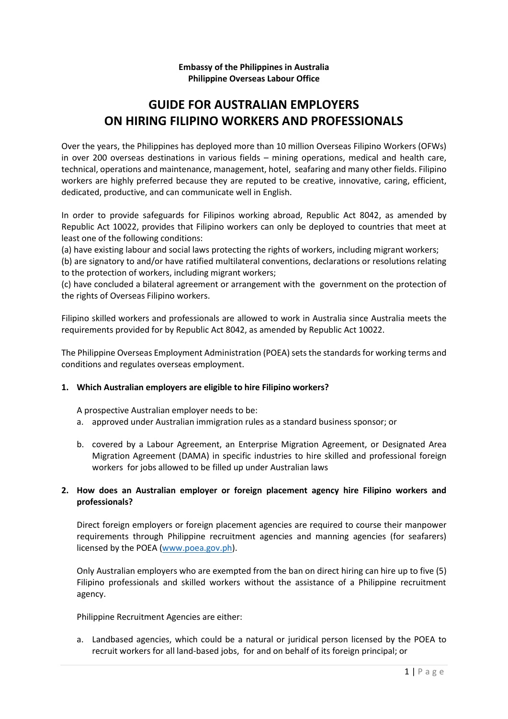## **Embassy of the Philippines in Australia Philippine Overseas Labour Office**

# **GUIDE FOR AUSTRALIAN EMPLOYERS ON HIRING FILIPINO WORKERS AND PROFESSIONALS**

Over the years, the Philippines has deployed more than 10 million Overseas Filipino Workers (OFWs) in over 200 overseas destinations in various fields – mining operations, medical and health care, technical, operations and maintenance, management, hotel, seafaring and many other fields. Filipino workers are highly preferred because they are reputed to be creative, innovative, caring, efficient, dedicated, productive, and can communicate well in English.

In order to provide safeguards for Filipinos working abroad, Republic Act 8042, as amended by Republic Act 10022, provides that Filipino workers can only be deployed to countries that meet at least one of the following conditions:

(a) have existing labour and social laws protecting the rights of workers, including migrant workers;

(b) are signatory to and/or have ratified multilateral conventions, declarations or resolutions relating to the protection of workers, including migrant workers;

(c) have concluded a bilateral agreement or arrangement with the government on the protection of the rights of Overseas Filipino workers.

Filipino skilled workers and professionals are allowed to work in Australia since Australia meets the requirements provided for by Republic Act 8042, as amended by Republic Act 10022.

The Philippine Overseas Employment Administration (POEA) sets the standards for working terms and conditions and regulates overseas employment.

#### **1. Which Australian employers are eligible to hire Filipino workers?**

A prospective Australian employer needs to be:

- a. approved under Australian immigration rules as a standard business sponsor; or
- b. covered by a Labour Agreement, an Enterprise Migration Agreement, or Designated Area Migration Agreement (DAMA) in specific industries to hire skilled and professional foreign workers for jobs allowed to be filled up under Australian laws

# **2. How does an Australian employer or foreign placement agency hire Filipino workers and professionals?**

Direct foreign employers or foreign placement agencies are required to course their manpower requirements through Philippine recruitment agencies and manning agencies (for seafarers) licensed by the POEA [\(www.poea.gov.ph\)](http://www.poea.gov.ph/).

Only Australian employers who are exempted from the ban on direct hiring can hire up to five (5) Filipino professionals and skilled workers without the assistance of a Philippine recruitment agency.

Philippine Recruitment Agencies are either:

a. Landbased agencies, which could be a natural or juridical person licensed by the POEA to recruit workers for all land-based jobs, for and on behalf of its foreign principal; or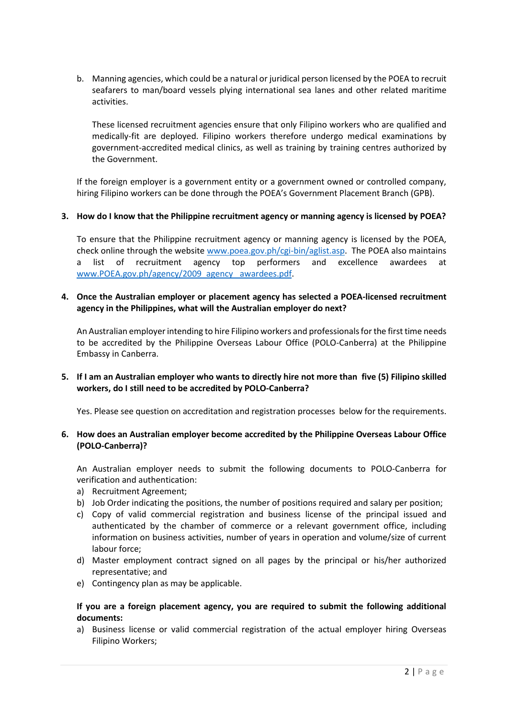b. Manning agencies, which could be a natural or juridical person licensed by the POEA to recruit seafarers to man/board vessels plying international sea lanes and other related maritime activities.

These licensed recruitment agencies ensure that only Filipino workers who are qualified and medically-fit are deployed. Filipino workers therefore undergo medical examinations by government-accredited medical clinics, as well as training by training centres authorized by the Government.

If the foreign employer is a government entity or a government owned or controlled company, hiring Filipino workers can be done through the POEA's Government Placement Branch (GPB).

## **3. How do I know that the Philippine recruitment agency or manning agency is licensed by POEA?**

To ensure that the Philippine recruitment agency or manning agency is licensed by the POEA, check online through the website [www.poea.gov.ph/cgi-bin/aglist.asp.](http://www.poea.gov.ph/cgi-bin/aglist.asp) The POEA also maintains a list of recruitment agency top performers and excellence awardees at [www.POEA.gov.ph/agency/2009\\_agency \\_awardees.pdf.](http://www.poea.gov.ph/agency/2009_agency%20_awardees.pdf)

## **4. Once the Australian employer or placement agency has selected a POEA-licensed recruitment agency in the Philippines, what will the Australian employer do next?**

An Australian employer intending to hire Filipino workers and professionals for the first time needs to be accredited by the Philippine Overseas Labour Office (POLO-Canberra) at the Philippine Embassy in Canberra.

## **5. If I am an Australian employer who wants to directly hire not more than five (5) Filipino skilled workers, do I still need to be accredited by POLO-Canberra?**

Yes. Please see question on accreditation and registration processes below for the requirements.

## **6. How does an Australian employer become accredited by the Philippine Overseas Labour Office (POLO-Canberra)?**

An Australian employer needs to submit the following documents to POLO-Canberra for verification and authentication:

- a) Recruitment Agreement;
- b) Job Order indicating the positions, the number of positions required and salary per position;
- c) Copy of valid commercial registration and business license of the principal issued and authenticated by the chamber of commerce or a relevant government office, including information on business activities, number of years in operation and volume/size of current labour force;
- d) Master employment contract signed on all pages by the principal or his/her authorized representative; and
- e) Contingency plan as may be applicable.

## **If you are a foreign placement agency, you are required to submit the following additional documents:**

a) Business license or valid commercial registration of the actual employer hiring Overseas Filipino Workers;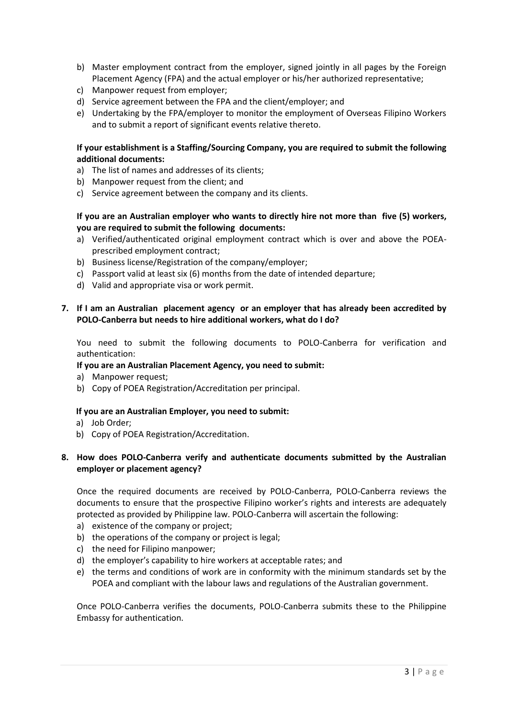- b) Master employment contract from the employer, signed jointly in all pages by the Foreign Placement Agency (FPA) and the actual employer or his/her authorized representative;
- c) Manpower request from employer;
- d) Service agreement between the FPA and the client/employer; and
- e) Undertaking by the FPA/employer to monitor the employment of Overseas Filipino Workers and to submit a report of significant events relative thereto.

## **If your establishment is a Staffing/Sourcing Company, you are required to submit the following additional documents:**

- a) The list of names and addresses of its clients;
- b) Manpower request from the client; and
- c) Service agreement between the company and its clients.

# **If you are an Australian employer who wants to directly hire not more than five (5) workers, you are required to submit the following documents:**

- a) Verified/authenticated original employment contract which is over and above the POEAprescribed employment contract;
- b) Business license/Registration of the company/employer;
- c) Passport valid at least six (6) months from the date of intended departure;
- d) Valid and appropriate visa or work permit.

# **7. If I am an Australian placement agency or an employer that has already been accredited by POLO-Canberra but needs to hire additional workers, what do I do?**

You need to submit the following documents to POLO-Canberra for verification and authentication:

#### **If you are an Australian Placement Agency, you need to submit:**

- a) Manpower request;
- b) Copy of POEA Registration/Accreditation per principal.

#### **If you are an Australian Employer, you need to submit:**

- a) Job Order;
- b) Copy of POEA Registration/Accreditation.

# **8. How does POLO-Canberra verify and authenticate documents submitted by the Australian employer or placement agency?**

Once the required documents are received by POLO-Canberra, POLO-Canberra reviews the documents to ensure that the prospective Filipino worker's rights and interests are adequately protected as provided by Philippine law. POLO-Canberra will ascertain the following:

- a) existence of the company or project;
- b) the operations of the company or project is legal;
- c) the need for Filipino manpower;
- d) the employer's capability to hire workers at acceptable rates; and
- e) the terms and conditions of work are in conformity with the minimum standards set by the POEA and compliant with the labour laws and regulations of the Australian government.

Once POLO-Canberra verifies the documents, POLO-Canberra submits these to the Philippine Embassy for authentication.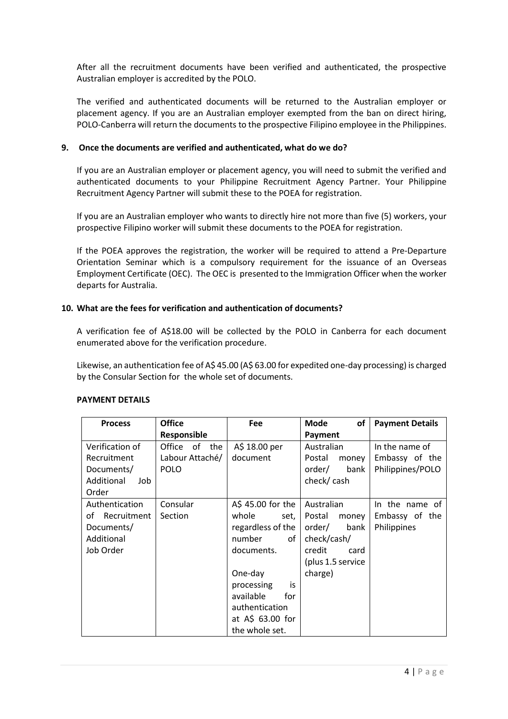After all the recruitment documents have been verified and authenticated, the prospective Australian employer is accredited by the POLO.

The verified and authenticated documents will be returned to the Australian employer or placement agency. If you are an Australian employer exempted from the ban on direct hiring, POLO-Canberra will return the documents to the prospective Filipino employee in the Philippines.

## **9. Once the documents are verified and authenticated, what do we do?**

If you are an Australian employer or placement agency, you will need to submit the verified and authenticated documents to your Philippine Recruitment Agency Partner. Your Philippine Recruitment Agency Partner will submit these to the POEA for registration.

If you are an Australian employer who wants to directly hire not more than five (5) workers, your prospective Filipino worker will submit these documents to the POEA for registration.

If the POEA approves the registration, the worker will be required to attend a Pre-Departure Orientation Seminar which is a compulsory requirement for the issuance of an Overseas Employment Certificate (OEC). The OEC is presented to the Immigration Officer when the worker departs for Australia.

#### **10. What are the fees for verification and authentication of documents?**

A verification fee of A\$18.00 will be collected by the POLO in Canberra for each document enumerated above for the verification procedure.

Likewise, an authentication fee of A\$ 45.00 (A\$ 63.00 for expedited one-day processing) is charged by the Consular Section for the whole set of documents.

| <b>Process</b>    | <b>Office</b>   | Fee               | Mode<br>of        | <b>Payment Details</b> |
|-------------------|-----------------|-------------------|-------------------|------------------------|
|                   | Responsible     |                   | Payment           |                        |
| Verification of   | Office of the   | A\$ 18.00 per     | Australian        | In the name of         |
| Recruitment       | Labour Attaché/ | document          | Postal<br>money   | Embassy of the         |
| Documents/        | <b>POLO</b>     |                   | order/<br>bank    | Philippines/POLO       |
| Additional<br>Job |                 |                   | check/cash        |                        |
| Order             |                 |                   |                   |                        |
| Authentication    | Consular        | A\$ 45.00 for the | Australian        | In the name of         |
| of Recruitment    | Section         | whole<br>set, I   | Postal<br>money   | Embassy of the         |
| Documents/        |                 | regardless of the | order/<br>bank    | Philippines            |
| Additional        |                 | number<br>of I    | check/cash/       |                        |
| Job Order         |                 | documents.        | credit<br>card    |                        |
|                   |                 |                   | (plus 1.5 service |                        |
|                   |                 | One-day           | charge)           |                        |
|                   |                 | processing<br>is  |                   |                        |
|                   |                 | available<br>for  |                   |                        |
|                   |                 | authentication    |                   |                        |
|                   |                 | at $A\$ 63.00 for |                   |                        |
|                   |                 | the whole set.    |                   |                        |

#### **PAYMENT DETAILS**